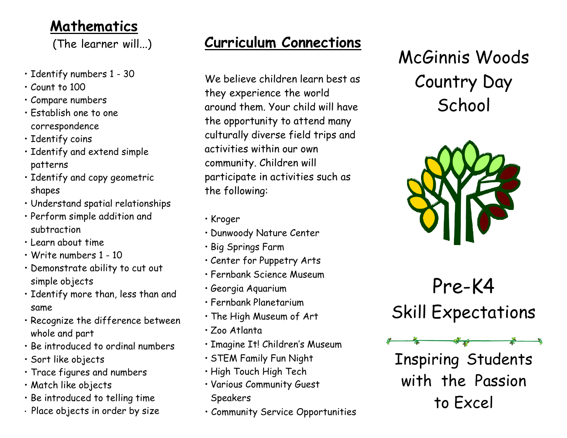#### **Mathematics**

(The learner will...)

- Identify numbers 1 30
- Count to 100
- Compare numbers
- Establish one to one correspondence
- Identify coins
- Identify and extend simple patterns
- Identify and copy geometric shapes
- Understand spatial relationships
- Perform simple addition and subtraction
- Learn about time
- Write numbers 1 10
- Demonstrate ability to cut out simple objects
- Identify more than, less than and same
- Recognize the difference between whole and part
- Be introduced to ordinal numbers
- Sort like objects
- Trace figures and numbers
- Match like objects
- Be introduced to telling time
- Place objects in order by size

## **Curriculum Connections**

We believe children learn best as they experience the world around them. Your child will have the opportunity to attend many culturally diverse field trips and activities within our own community. Children will participate in activities such as the following:

- Kroger
- Dunwoody Nature Center
- Big Springs Farm
- Center for Puppetry Arts
- Fernbank Science Museum
- Georgia Aquarium
- Fernbank Planetarium
- The High Museum of Art
- Zoo Atlanta
- Imagine It! Children's Museum
- STEM Family Fun Night
- High Touch High Tech
- Various Community Guest Speakers
- Community Service Opportunities

McGinnis Woods Country Day **School** 



Pre-K4 Skill Expectations

Inspiring Students with the Passion to Excel